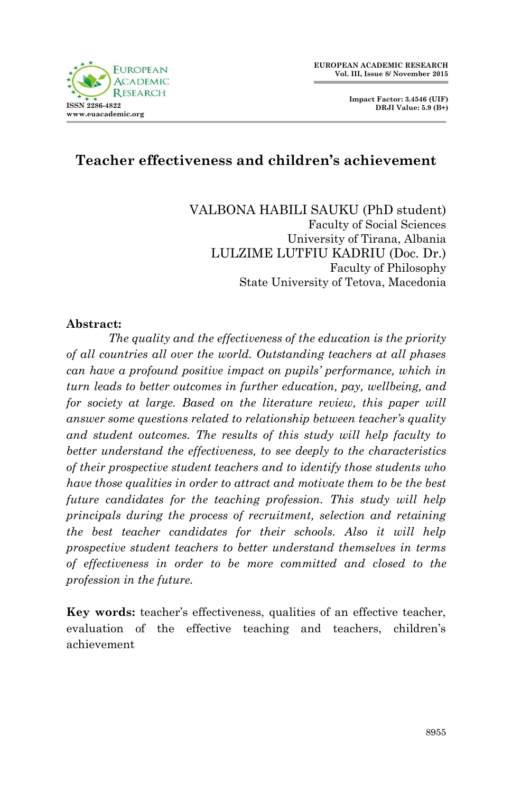

**Impact Factor: 3.4546 (UIF) DRJI Value: 5.9 (B+)**

### **Teacher effectiveness and children's achievement**

VALBONA HABILI SAUKU (PhD student) Faculty of Social Sciences University of Tirana, Albania LULZIME LUTFIU KADRIU (Doc. Dr.) Faculty of Philosophy State University of Tetova, Macedonia

#### **Abstract:**

*The quality and the effectiveness of the education is the priority of all countries all over the world. Outstanding teachers at all phases can have a profound positive impact on pupils' performance, which in turn leads to better outcomes in further education, pay, wellbeing, and for society at large. Based on the literature review, this paper will answer some questions related to relationship between teacher's quality and student outcomes. The results of this study will help faculty to better understand the effectiveness, to see deeply to the characteristics of their prospective student teachers and to identify those students who have those qualities in order to attract and motivate them to be the best future candidates for the teaching profession. This study will help principals during the process of recruitment, selection and retaining the best teacher candidates for their schools. Also it will help prospective student teachers to better understand themselves in terms of effectiveness in order to be more committed and closed to the profession in the future.*

**Key words:** teacher's effectiveness, qualities of an effective teacher, evaluation of the effective teaching and teachers, children's achievement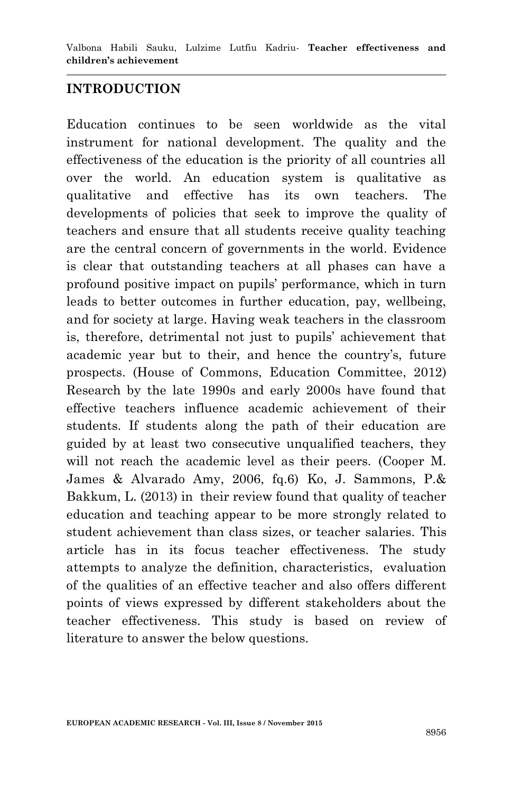Valbona Habili Sauku, Lulzime Lutfiu Kadriu*-* **Teacher effectiveness and children's achievement**

#### **INTRODUCTION**

Education continues to be seen worldwide as the vital instrument for national development. The quality and the effectiveness of the education is the priority of all countries all over the world. An education system is qualitative as qualitative and effective has its own teachers. The developments of policies that seek to improve the quality of teachers and ensure that all students receive quality teaching are the central concern of governments in the world. Evidence is clear that outstanding teachers at all phases can have a profound positive impact on pupils' performance, which in turn leads to better outcomes in further education, pay, wellbeing, and for society at large. Having weak teachers in the classroom is, therefore, detrimental not just to pupils' achievement that academic year but to their, and hence the country's, future prospects. (House of Commons, Education Committee, 2012) Research by the late 1990s and early 2000s have found that effective teachers influence academic achievement of their students. If students along the path of their education are guided by at least two consecutive unqualified teachers, they will not reach the academic level as their peers. (Cooper M. James & Alvarado Amy, 2006, fq.6) Ko, J. Sammons, P.& Bakkum, L. (2013) in their review found that quality of teacher education and teaching appear to be more strongly related to student achievement than class sizes, or teacher salaries. This article has in its focus teacher effectiveness. The study attempts to analyze the definition, characteristics, evaluation of the qualities of an effective teacher and also offers different points of views expressed by different stakeholders about the teacher effectiveness. This study is based on review of literature to answer the below questions.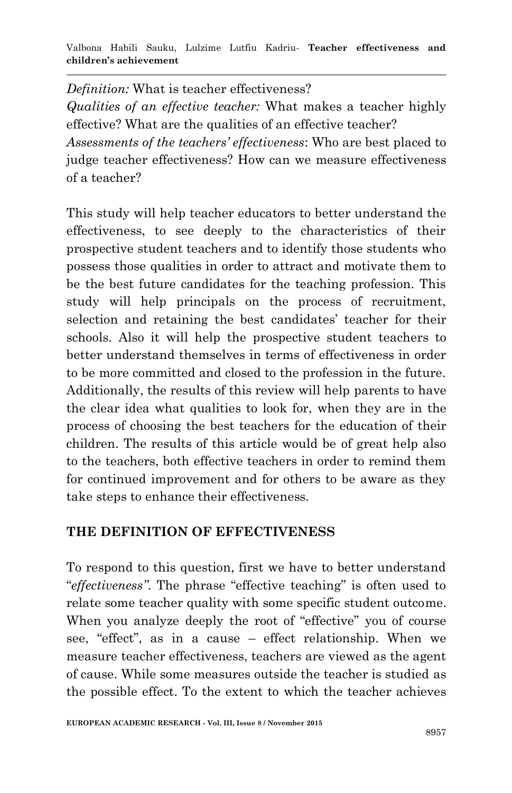*Definition:* What is teacher effectiveness? *Qualities of an effective teacher:* What makes a teacher highly effective? What are the qualities of an effective teacher? *Assessments of the teachers' effectiveness*: Who are best placed to judge teacher effectiveness? How can we measure effectiveness of a teacher?

This study will help teacher educators to better understand the effectiveness, to see deeply to the characteristics of their prospective student teachers and to identify those students who possess those qualities in order to attract and motivate them to be the best future candidates for the teaching profession. This study will help principals on the process of recruitment, selection and retaining the best candidates' teacher for their schools. Also it will help the prospective student teachers to better understand themselves in terms of effectiveness in order to be more committed and closed to the profession in the future. Additionally, the results of this review will help parents to have the clear idea what qualities to look for, when they are in the process of choosing the best teachers for the education of their children. The results of this article would be of great help also to the teachers, both effective teachers in order to remind them for continued improvement and for others to be aware as they take steps to enhance their effectiveness.

### **THE DEFINITION OF EFFECTIVENESS**

To respond to this question, first we have to better understand "*effectiveness*". The phrase "effective teaching" is often used to relate some teacher quality with some specific student outcome. When you analyze deeply the root of "effective" you of course see, "effect", as in a cause – effect relationship. When we measure teacher effectiveness, teachers are viewed as the agent of cause. While some measures outside the teacher is studied as the possible effect. To the extent to which the teacher achieves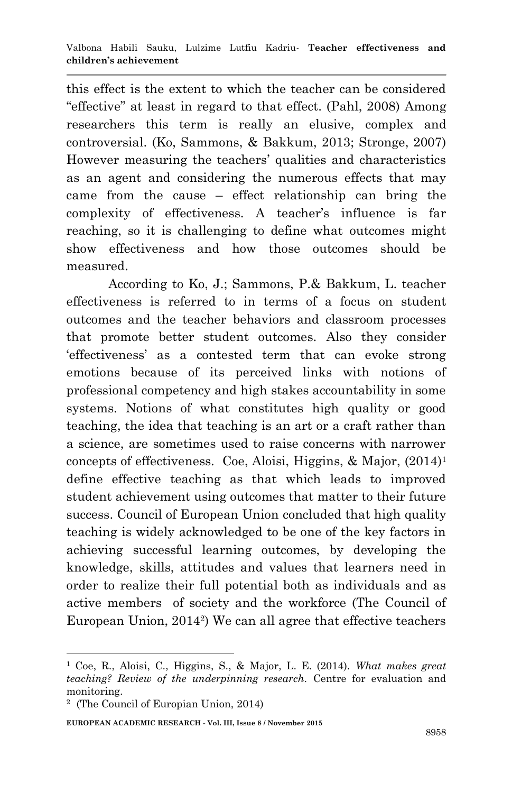this effect is the extent to which the teacher can be considered "effective" at least in regard to that effect. (Pahl, 2008) Among researchers this term is really an elusive, complex and controversial. (Ko, Sammons, & Bakkum, 2013; Stronge, 2007) However measuring the teachers' qualities and characteristics as an agent and considering the numerous effects that may came from the cause – effect relationship can bring the complexity of effectiveness. A teacher's influence is far reaching, so it is challenging to define what outcomes might show effectiveness and how those outcomes should be measured.

According to Ko, J.; Sammons, P.& Bakkum, L. teacher effectiveness is referred to in terms of a focus on student outcomes and the teacher behaviors and classroom processes that promote better student outcomes. Also they consider ‗effectiveness' as a contested term that can evoke strong emotions because of its perceived links with notions of professional competency and high stakes accountability in some systems. Notions of what constitutes high quality or good teaching, the idea that teaching is an art or a craft rather than a science, are sometimes used to raise concerns with narrower concepts of effectiveness. Coe, Aloisi, Higgins, & Major, (2014)<sup>1</sup> define effective teaching as that which leads to improved student achievement using outcomes that matter to their future success. Council of European Union concluded that high quality teaching is widely acknowledged to be one of the key factors in achieving successful learning outcomes, by developing the knowledge, skills, attitudes and values that learners need in order to realize their full potential both as individuals and as active members of society and the workforce (The Council of European Union, 2014<sup>2</sup> ) We can all agree that effective teachers

1

**EUROPEAN ACADEMIC RESEARCH - Vol. III, Issue 8 / November 2015**

<sup>1</sup> Coe, R., Aloisi, C., Higgins, S., & Major, L. E. (2014). *What makes great teaching? Review of the underpinning research.* Centre for evaluation and monitoring.

<sup>2</sup> (The Council of Europian Union, 2014)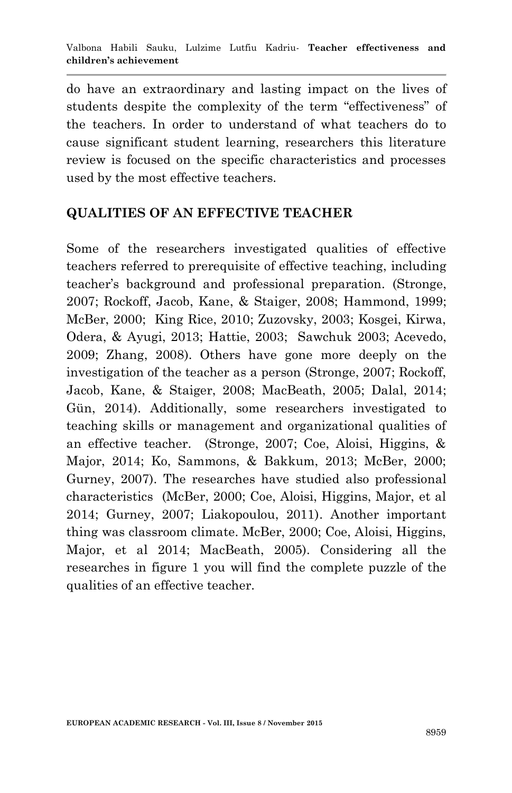do have an extraordinary and lasting impact on the lives of students despite the complexity of the term "effectiveness" of the teachers. In order to understand of what teachers do to cause significant student learning, researchers this literature review is focused on the specific characteristics and processes used by the most effective teachers.

### **QUALITIES OF AN EFFECTIVE TEACHER**

Some of the researchers investigated qualities of effective teachers referred to prerequisite of effective teaching, including teacher's background and professional preparation. (Stronge, 2007; Rockoff, Jacob, Kane, & Staiger, 2008; Hammond, 1999; McBer, 2000; King Rice, 2010; Zuzovsky, 2003; Kosgei, Kirwa, Odera, & Ayugi, 2013; Hattie, 2003; Sawchuk 2003; Acevedo, 2009; Zhang, 2008). Others have gone more deeply on the investigation of the teacher as a person (Stronge, 2007; Rockoff, Jacob, Kane, & Staiger, 2008; MacBeath, 2005; Dalal, 2014; Gün, 2014). Additionally, some researchers investigated to teaching skills or management and organizational qualities of an effective teacher. (Stronge, 2007; Coe, Aloisi, Higgins, & Major, 2014; Ko, Sammons, & Bakkum, 2013; McBer, 2000; Gurney, 2007). The researches have studied also professional characteristics (McBer, 2000; Coe, Aloisi, Higgins, Major, et al 2014; Gurney, 2007; Liakopoulou, 2011). Another important thing was classroom climate. McBer, 2000; Coe, Aloisi, Higgins, Major, et al 2014; MacBeath, 2005). Considering all the researches in figure 1 you will find the complete puzzle of the qualities of an effective teacher.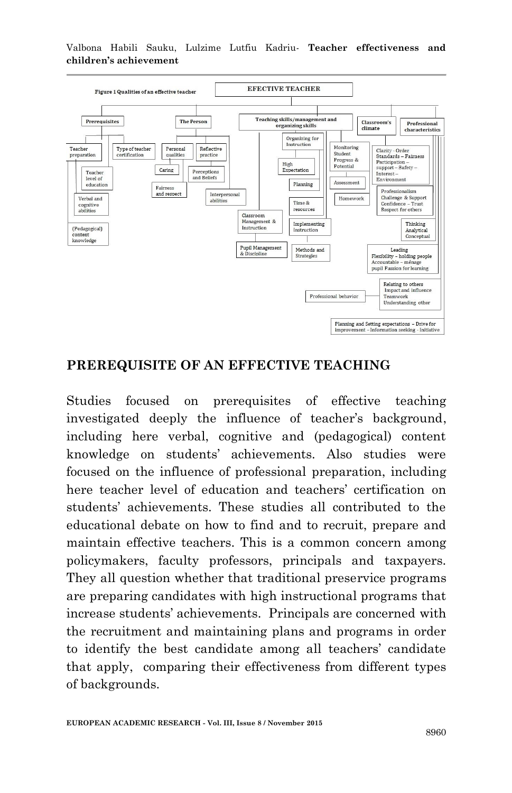Valbona Habili Sauku, Lulzime Lutfiu Kadriu*-* **Teacher effectiveness and children's achievement**



#### **PREREQUISITE OF AN EFFECTIVE TEACHING**

Studies focused on prerequisites of effective teaching investigated deeply the influence of teacher's background, including here verbal, cognitive and (pedagogical) content knowledge on students' achievements. Also studies were focused on the influence of professional preparation, including here teacher level of education and teachers' certification on students' achievements. These studies all contributed to the educational debate on how to find and to recruit, prepare and maintain effective teachers. This is a common concern among policymakers, faculty professors, principals and taxpayers. They all question whether that traditional preservice programs are preparing candidates with high instructional programs that increase students' achievements. Principals are concerned with the recruitment and maintaining plans and programs in order to identify the best candidate among all teachers' candidate that apply, comparing their effectiveness from different types of backgrounds.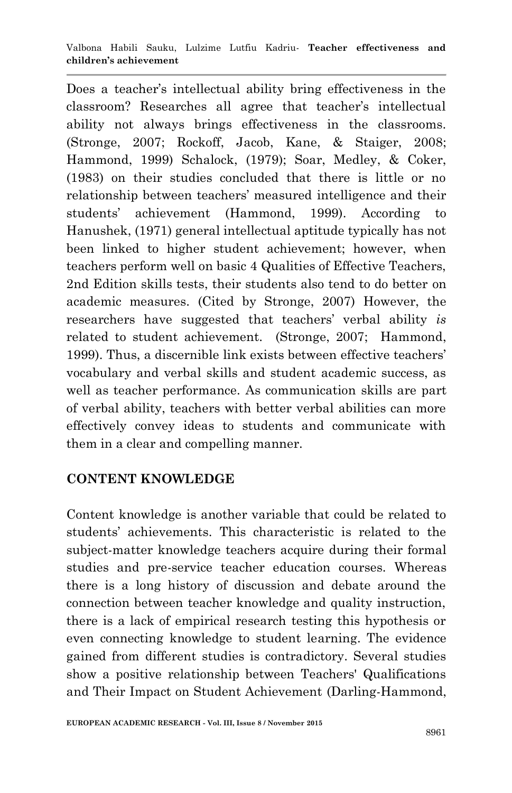Does a teacher's intellectual ability bring effectiveness in the classroom? Researches all agree that teacher's intellectual ability not always brings effectiveness in the classrooms. (Stronge, 2007; Rockoff, Jacob, Kane, & Staiger, 2008; Hammond, 1999) Schalock, (1979); Soar, Medley, & Coker, (1983) on their studies concluded that there is little or no relationship between teachers' measured intelligence and their students' achievement (Hammond, 1999). According to Hanushek, (1971) general intellectual aptitude typically has not been linked to higher student achievement; however, when teachers perform well on basic 4 Qualities of Effective Teachers, 2nd Edition skills tests, their students also tend to do better on academic measures. (Cited by Stronge, 2007) However, the researchers have suggested that teachers' verbal ability *is*  related to student achievement. (Stronge, 2007; Hammond, 1999). Thus, a discernible link exists between effective teachers' vocabulary and verbal skills and student academic success, as well as teacher performance. As communication skills are part of verbal ability, teachers with better verbal abilities can more effectively convey ideas to students and communicate with them in a clear and compelling manner.

### **CONTENT KNOWLEDGE**

Content knowledge is another variable that could be related to students' achievements. This characteristic is related to the subject-matter knowledge teachers acquire during their formal studies and pre-service teacher education courses. Whereas there is a long history of discussion and debate around the connection between teacher knowledge and quality instruction, there is a lack of empirical research testing this hypothesis or even connecting knowledge to student learning. The evidence gained from different studies is contradictory. Several studies show a positive relationship between Teachers' Qualifications and Their Impact on Student Achievement (Darling-Hammond,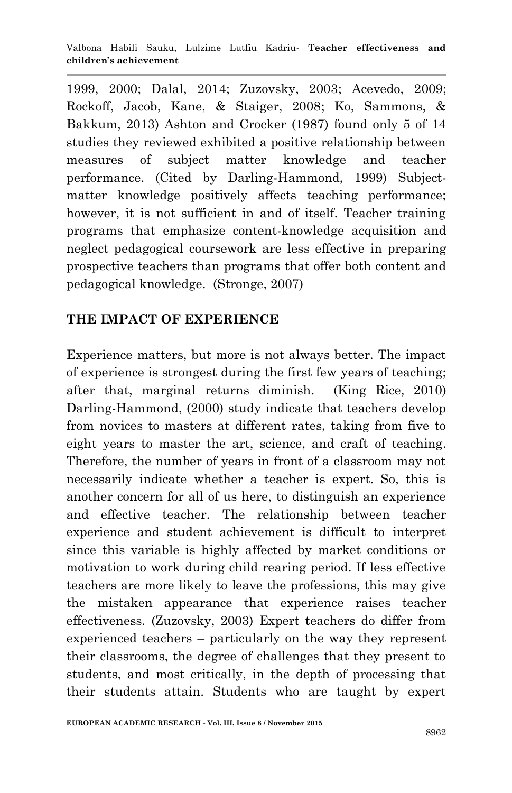Valbona Habili Sauku, Lulzime Lutfiu Kadriu*-* **Teacher effectiveness and children's achievement**

1999, 2000; Dalal, 2014; Zuzovsky, 2003; Acevedo, 2009; Rockoff, Jacob, Kane, & Staiger, 2008; Ko, Sammons, & Bakkum, 2013) Ashton and Crocker (1987) found only 5 of 14 studies they reviewed exhibited a positive relationship between measures of subject matter knowledge and teacher performance. (Cited by Darling-Hammond, 1999) Subjectmatter knowledge positively affects teaching performance; however, it is not sufficient in and of itself. Teacher training programs that emphasize content-knowledge acquisition and neglect pedagogical coursework are less effective in preparing prospective teachers than programs that offer both content and pedagogical knowledge. (Stronge, 2007)

### **THE IMPACT OF EXPERIENCE**

Experience matters, but more is not always better. The impact of experience is strongest during the first few years of teaching; after that, marginal returns diminish. (King Rice, 2010) Darling-Hammond, (2000) study indicate that teachers develop from novices to masters at different rates, taking from five to eight years to master the art, science, and craft of teaching. Therefore, the number of years in front of a classroom may not necessarily indicate whether a teacher is expert. So, this is another concern for all of us here, to distinguish an experience and effective teacher. The relationship between teacher experience and student achievement is difficult to interpret since this variable is highly affected by market conditions or motivation to work during child rearing period. If less effective teachers are more likely to leave the professions, this may give the mistaken appearance that experience raises teacher effectiveness. (Zuzovsky, 2003) Expert teachers do differ from experienced teachers – particularly on the way they represent their classrooms, the degree of challenges that they present to students, and most critically, in the depth of processing that their students attain. Students who are taught by expert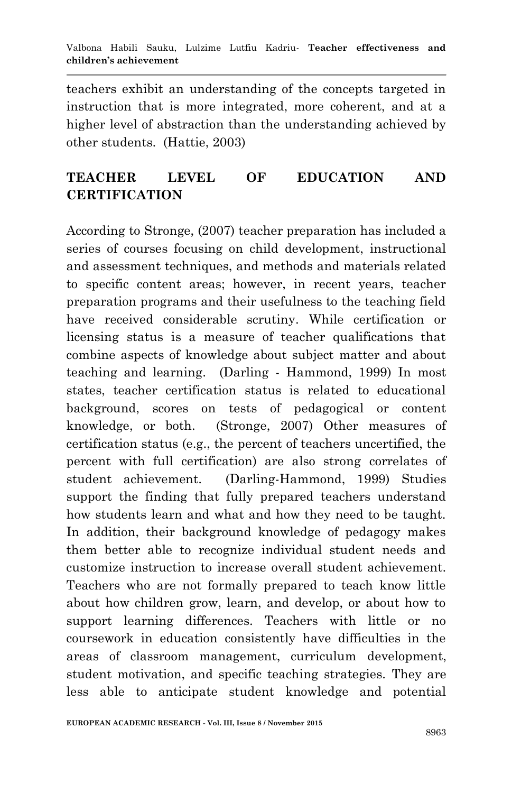teachers exhibit an understanding of the concepts targeted in instruction that is more integrated, more coherent, and at a higher level of abstraction than the understanding achieved by other students. (Hattie, 2003)

# **TEACHER LEVEL OF EDUCATION AND CERTIFICATION**

According to Stronge, (2007) teacher preparation has included a series of courses focusing on child development, instructional and assessment techniques, and methods and materials related to specific content areas; however, in recent years, teacher preparation programs and their usefulness to the teaching field have received considerable scrutiny. While certification or licensing status is a measure of teacher qualifications that combine aspects of knowledge about subject matter and about teaching and learning. (Darling - Hammond, 1999) In most states, teacher certification status is related to educational background, scores on tests of pedagogical or content knowledge, or both. (Stronge, 2007) Other measures of certification status (e.g., the percent of teachers uncertified, the percent with full certification) are also strong correlates of student achievement. (Darling-Hammond, 1999) Studies support the finding that fully prepared teachers understand how students learn and what and how they need to be taught. In addition, their background knowledge of pedagogy makes them better able to recognize individual student needs and customize instruction to increase overall student achievement. Teachers who are not formally prepared to teach know little about how children grow, learn, and develop, or about how to support learning differences. Teachers with little or no coursework in education consistently have difficulties in the areas of classroom management, curriculum development, student motivation, and specific teaching strategies. They are less able to anticipate student knowledge and potential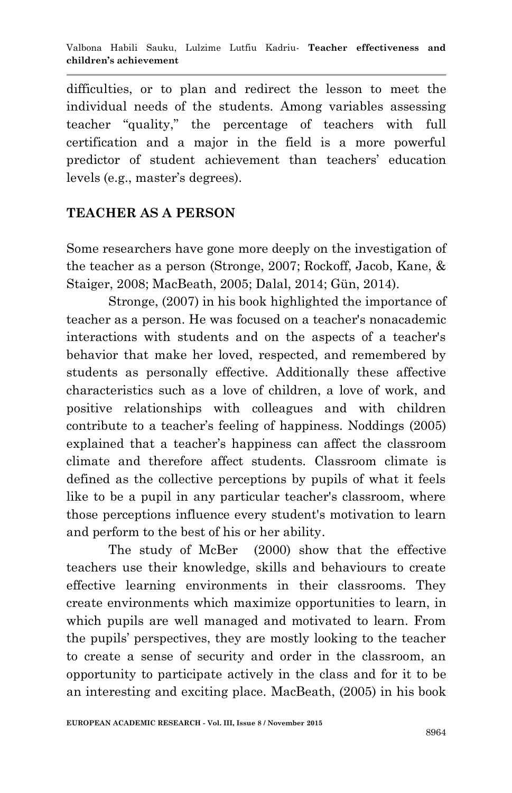difficulties, or to plan and redirect the lesson to meet the individual needs of the students. Among variables assessing teacher "quality," the percentage of teachers with full certification and a major in the field is a more powerful predictor of student achievement than teachers' education levels (e.g., master's degrees).

### **TEACHER AS A PERSON**

Some researchers have gone more deeply on the investigation of the teacher as a person (Stronge, 2007; Rockoff, Jacob, Kane, & Staiger, 2008; MacBeath, 2005; Dalal, 2014; Gün, 2014).

Stronge, (2007) in his book highlighted the importance of teacher as a person. He was focused on a teacher's nonacademic interactions with students and on the aspects of a teacher's behavior that make her loved, respected, and remembered by students as personally effective. Additionally these affective characteristics such as a love of children, a love of work, and positive relationships with colleagues and with children contribute to a teacher's feeling of happiness. Noddings (2005) explained that a teacher's happiness can affect the classroom climate and therefore affect students. Classroom climate is defined as the collective perceptions by pupils of what it feels like to be a pupil in any particular teacher's classroom, where those perceptions influence every student's motivation to learn and perform to the best of his or her ability.

The study of McBer (2000) show that the effective teachers use their knowledge, skills and behaviours to create effective learning environments in their classrooms. They create environments which maximize opportunities to learn, in which pupils are well managed and motivated to learn. From the pupils' perspectives, they are mostly looking to the teacher to create a sense of security and order in the classroom, an opportunity to participate actively in the class and for it to be an interesting and exciting place. MacBeath, (2005) in his book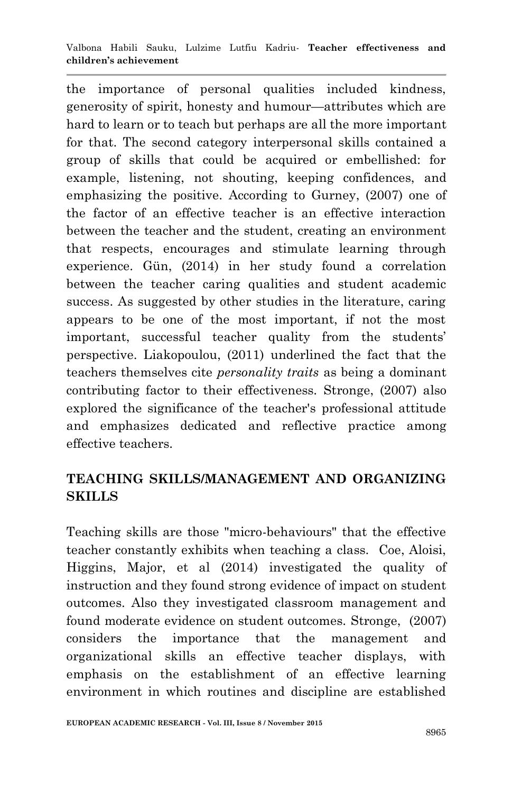the importance of personal qualities included kindness, generosity of spirit, honesty and humour—attributes which are hard to learn or to teach but perhaps are all the more important for that. The second category interpersonal skills contained a group of skills that could be acquired or embellished: for example, listening, not shouting, keeping confidences, and emphasizing the positive. According to Gurney, (2007) one of the factor of an effective teacher is an effective interaction between the teacher and the student, creating an environment that respects, encourages and stimulate learning through experience. Gün, (2014) in her study found a correlation between the teacher caring qualities and student academic success. As suggested by other studies in the literature, caring appears to be one of the most important, if not the most important, successful teacher quality from the students' perspective. Liakopoulou, (2011) underlined the fact that the teachers themselves cite *personality traits* as being a dominant contributing factor to their effectiveness. Stronge, (2007) also explored the significance of the teacher's professional attitude and emphasizes dedicated and reflective practice among effective teachers.

## **TEACHING SKILLS/MANAGEMENT AND ORGANIZING SKILLS**

Teaching skills are those "micro-behaviours" that the effective teacher constantly exhibits when teaching a class. Coe, Aloisi, Higgins, Major, et al (2014) investigated the quality of instruction and they found strong evidence of impact on student outcomes. Also they investigated classroom management and found moderate evidence on student outcomes. Stronge, (2007) considers the importance that the management and organizational skills an effective teacher displays, with emphasis on the establishment of an effective learning environment in which routines and discipline are established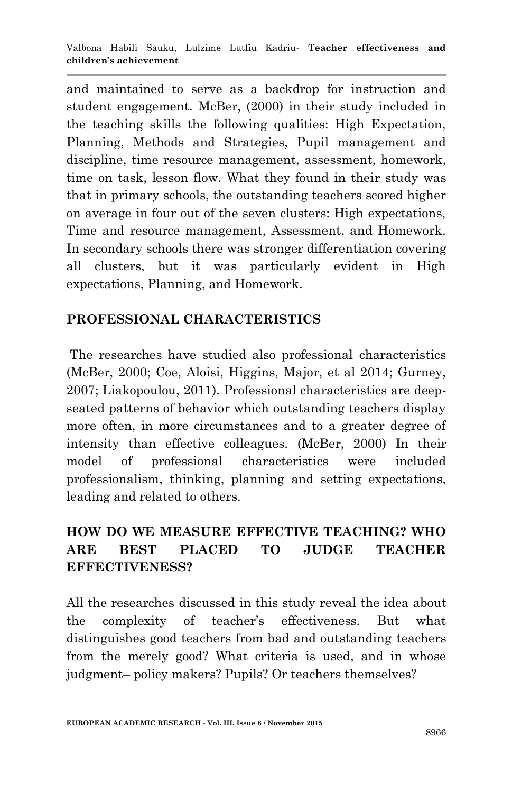and maintained to serve as a backdrop for instruction and student engagement. McBer, (2000) in their study included in the teaching skills the following qualities: High Expectation, Planning, Methods and Strategies, Pupil management and discipline, time resource management, assessment, homework, time on task, lesson flow. What they found in their study was that in primary schools, the outstanding teachers scored higher on average in four out of the seven clusters: High expectations, Time and resource management, Assessment, and Homework. In secondary schools there was stronger differentiation covering all clusters, but it was particularly evident in High expectations, Planning, and Homework.

## **PROFESSIONAL CHARACTERISTICS**

The researches have studied also professional characteristics (McBer, 2000; Coe, Aloisi, Higgins, Major, et al 2014; Gurney, 2007; Liakopoulou, 2011). Professional characteristics are deepseated patterns of behavior which outstanding teachers display more often, in more circumstances and to a greater degree of intensity than effective colleagues. (McBer, 2000) In their model of professional characteristics were included professionalism, thinking, planning and setting expectations, leading and related to others.

# **HOW DO WE MEASURE EFFECTIVE TEACHING? WHO ARE BEST PLACED TO JUDGE TEACHER EFFECTIVENESS?**

All the researches discussed in this study reveal the idea about the complexity of teacher's effectiveness. But what distinguishes good teachers from bad and outstanding teachers from the merely good? What criteria is used, and in whose judgment– policy makers? Pupils? Or teachers themselves?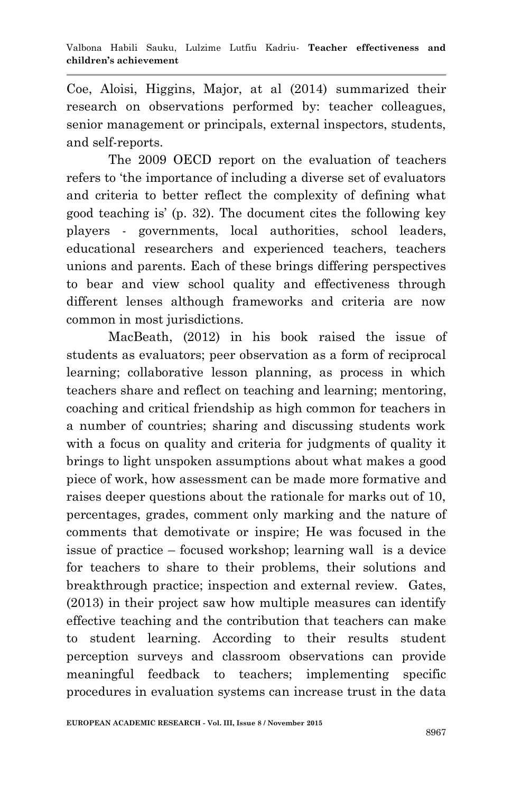Coe, Aloisi, Higgins, Major, at al (2014) summarized their research on observations performed by: teacher colleagues, senior management or principals, external inspectors, students, and self-reports.

The 2009 OECD report on the evaluation of teachers refers to 'the importance of including a diverse set of evaluators and criteria to better reflect the complexity of defining what good teaching is' (p. 32). The document cites the following key players - governments, local authorities, school leaders, educational researchers and experienced teachers, teachers unions and parents. Each of these brings differing perspectives to bear and view school quality and effectiveness through different lenses although frameworks and criteria are now common in most jurisdictions.

MacBeath, (2012) in his book raised the issue of students as evaluators; peer observation as a form of reciprocal learning; collaborative lesson planning, as process in which teachers share and reflect on teaching and learning; mentoring, coaching and critical friendship as high common for teachers in a number of countries; sharing and discussing students work with a focus on quality and criteria for judgments of quality it brings to light unspoken assumptions about what makes a good piece of work, how assessment can be made more formative and raises deeper questions about the rationale for marks out of 10, percentages, grades, comment only marking and the nature of comments that demotivate or inspire; He was focused in the issue of practice – focused workshop; learning wall is a device for teachers to share to their problems, their solutions and breakthrough practice; inspection and external review. Gates, (2013) in their project saw how multiple measures can identify effective teaching and the contribution that teachers can make to student learning. According to their results student perception surveys and classroom observations can provide meaningful feedback to teachers; implementing specific procedures in evaluation systems can increase trust in the data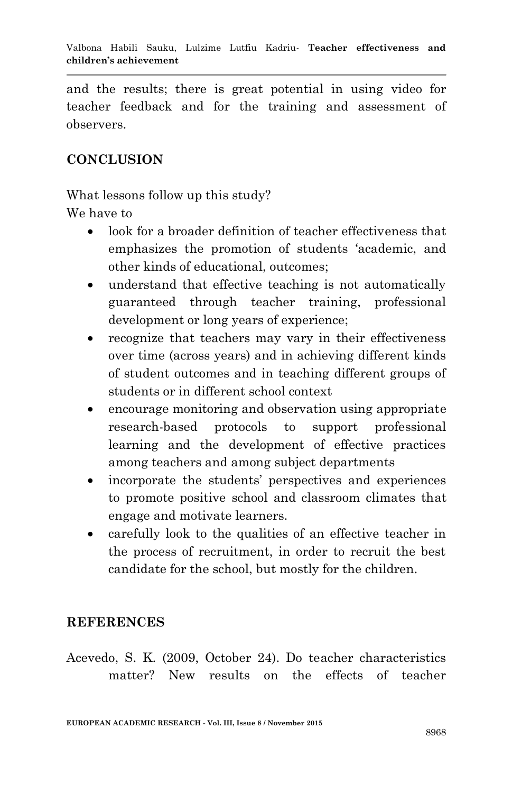and the results; there is great potential in using video for teacher feedback and for the training and assessment of observers.

### **CONCLUSION**

What lessons follow up this study?

We have to

- look for a broader definition of teacher effectiveness that emphasizes the promotion of students 'academic, and other kinds of educational, outcomes;
- understand that effective teaching is not automatically guaranteed through teacher training, professional development or long years of experience;
- recognize that teachers may vary in their effectiveness over time (across years) and in achieving different kinds of student outcomes and in teaching different groups of students or in different school context
- encourage monitoring and observation using appropriate research-based protocols to support professional learning and the development of effective practices among teachers and among subject departments
- incorporate the students' perspectives and experiences to promote positive school and classroom climates that engage and motivate learners.
- carefully look to the qualities of an effective teacher in the process of recruitment, in order to recruit the best candidate for the school, but mostly for the children.

#### **REFERENCES**

Acevedo, S. K. (2009, October 24). Do teacher characteristics matter? New results on the effects of teacher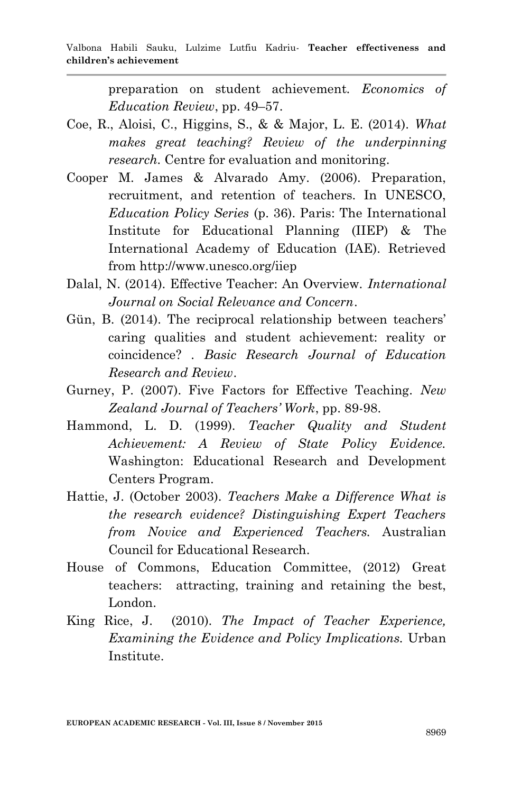preparation on student achievement. *Economics of Education Review*, pp. 49–57.

- Coe, R., Aloisi, C., Higgins, S., & & Major, L. E. (2014). *What makes great teaching? Review of the underpinning research.* Centre for evaluation and monitoring.
- Cooper M. James & Alvarado Amy. (2006). Preparation, recruitment, and retention of teachers. In UNESCO, *Education Policy Series* (p. 36). Paris: The International Institute for Educational Planning (IIEP) & The International Academy of Education (IAE). Retrieved from http://www.unesco.org/iiep
- Dalal, N. (2014). Effective Teacher: An Overview. *International Journal on Social Relevance and Concern*.
- Gün, B. (2014). The reciprocal relationship between teachers' caring qualities and student achievement: reality or coincidence? . *Basic Research Journal of Education Research and Review*.
- Gurney, P. (2007). Five Factors for Effective Teaching. *New Zealand Journal of Teachers' Work*, pp. 89-98.
- Hammond, L. D. (1999). *Teacher Quality and Student Achievement: A Review of State Policy Evidence.* Washington: Educational Research and Development Centers Program.
- Hattie, J. (October 2003). *Teachers Make a Difference What is the research evidence? Distinguishing Expert Teachers from Novice and Experienced Teachers.* Australian Council for Educational Research.
- House of Commons, Education Committee, (2012) Great teachers: attracting, training and retaining the best, London.
- King Rice, J. (2010). *The Impact of Teacher Experience, Examining the Evidence and Policy Implications.* Urban Institute.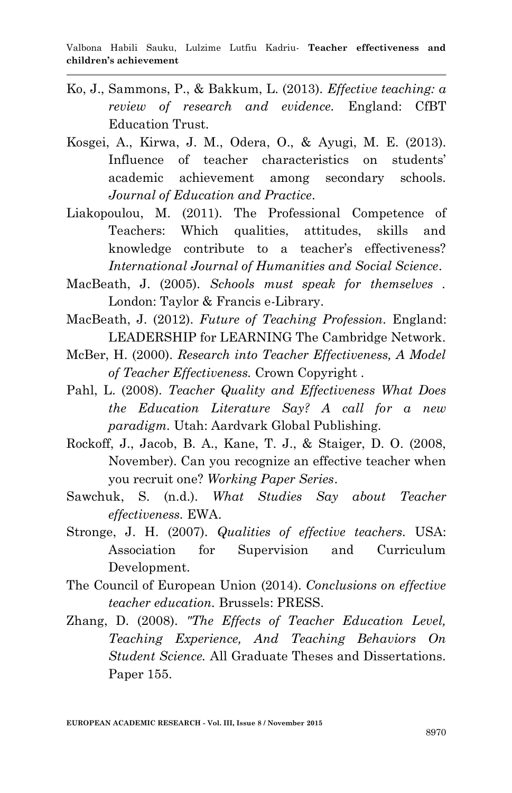- Ko, J., Sammons, P., & Bakkum, L. (2013). *Effective teaching: a review of research and evidence.* England: CfBT Education Trust.
- Kosgei, A., Kirwa, J. M., Odera, O., & Ayugi, M. E. (2013). Influence of teacher characteristics on students' academic achievement among secondary schools. *Journal of Education and Practice*.
- Liakopoulou, M. (2011). The Professional Competence of Teachers: Which qualities, attitudes, skills and knowledge contribute to a teacher's effectiveness? *International Journal of Humanities and Social Science*.
- MacBeath, J. (2005). *Schools must speak for themselves .* London: Taylor & Francis e-Library.
- MacBeath, J. (2012). *Future of Teaching Profession.* England: LEADERSHIP for LEARNING The Cambridge Network.
- McBer, H. (2000). *Research into Teacher Effectiveness, A Model of Teacher Effectiveness.* Crown Copyright .
- Pahl, L. (2008). *Teacher Quality and Effectiveness What Does the Education Literature Say? A call for a new paradigm.* Utah: Aardvark Global Publishing.
- Rockoff, J., Jacob, B. A., Kane, T. J., & Staiger, D. O. (2008, November). Can you recognize an effective teacher when you recruit one? *Working Paper Series*.
- Sawchuk, S. (n.d.). *What Studies Say about Teacher effectiveness.* EWA.
- Stronge, J. H. (2007). *Qualities of effective teachers.* USA: Association for Supervision and Curriculum Development.
- The Council of European Union (2014). *Conclusions on effective teacher education.* Brussels: PRESS.
- Zhang, D. (2008). *"The Effects of Teacher Education Level, Teaching Experience, And Teaching Behaviors On Student Science.* All Graduate Theses and Dissertations. Paper 155.